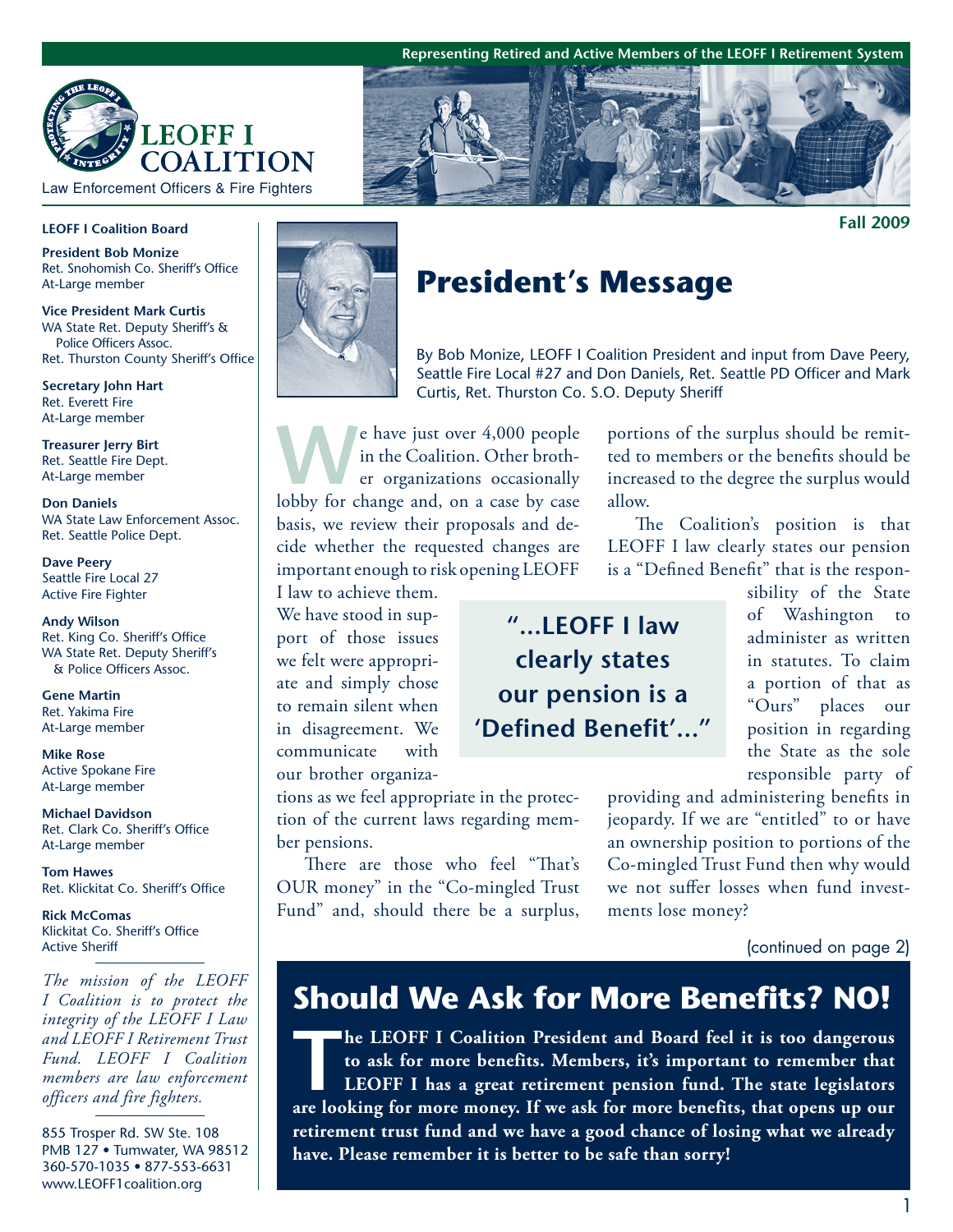**Representing Retired and Active Members of the LEOFF I Retirement System**



Law Enforcement Officers & Fire Fighters

#### **LEOFF I Coalition Board**

**President Bob Monize** Ret. Snohomish Co. Sheriff's Office At-Large member

**Vice President Mark Curtis** WA State Ret. Deputy Sheriff's & Police Officers Assoc. Ret. Thurston County Sheriff's Office

**Secretary John Hart**  Ret. Everett Fire At-Large member

**Treasurer Jerry Birt**  Ret. Seattle Fire Dept. At-Large member

**Don Daniels**  WA State Law Enforcement Assoc. Ret. Seattle Police Dept.

**Dave Peery**  Seattle Fire Local 27 Active Fire Fighter

**Andy Wilson**  Ret. King Co. Sheriff's Office WA State Ret. Deputy Sheriff's & Police Officers Assoc.

**Gene Martin**  Ret. Yakima Fire At-Large member

**Mike Rose**  Active Spokane Fire At-Large member

**Michael Davidson**  Ret. Clark Co. Sheriff's Office At-Large member

**Tom Hawes**  Ret. Klickitat Co. Sheriff's Office

**Rick McComas** Klickitat Co. Sheriff's Office Active Sheriff

*The mission of the LEOFF I Coalition is to protect the integrity of the LEOFF I Law and LEOFF I Retirement Trust Fund. LEOFF I Coalition members are law enforcement officers and fire fighters.*

855 Trosper Rd. SW Ste. 108 PMB 127 · Tumwater, WA 98512 360-570-1035 • 877-553-6631 www.LEOFF1coalition.org



# **President's Message**

By Bob Monize, LEOFF I Coalition President and input from Dave Peery, Seattle Fire Local #27 and Don Daniels, Ret. Seattle PD Officer and Mark Curtis, Ret. Thurston Co. S.O. Deputy Sheriff

e have just over 4,000 people<br>
in the Coalition. Other broth-<br>
er organizations occasionally<br>
labby for change and on a case by case in the Coalition. Other brothlobby for change and, on a case by case basis, we review their proposals and decide whether the requested changes are important enough to risk opening LEOFF

I law to achieve them. We have stood in support of those issues we felt were appropriate and simply chose to remain silent when in disagreement. We communicate with our brother organiza-

tions as we feel appropriate in the protection of the current laws regarding member pensions.

There are those who feel "That's OUR money" in the "Co-mingled Trust Fund" and, should there be a surplus, portions of the surplus should be remitted to members or the benefits should be increased to the degree the surplus would allow.

The Coalition's position is that LEOFF I law clearly states our pension is a "Defined Benefit" that is the respon-

**"...LEOFF I law clearly states our pension is a 'Defined Benefit'..."** sibility of the State of Washington to administer as written in statutes. To claim a portion of that as "Ours" places our position in regarding the State as the sole responsible party of

providing and administering benefits in jeopardy. If we are "entitled" to or have an ownership position to portions of the Co-mingled Trust Fund then why would we not suffer losses when fund investments lose money?

(continued on page 2)

# **Should We Ask for More Benefits? NO!**

**The LEOFF I Coalition President and Board feel it is too dangerous**<br>to ask for more benefits. Members, it's important to remember that<br>LEOFF I has a great retirement pension fund. The state legislators<br>are looking for mor **to ask for more benefits. Members, it's important to remember that LEOFF I has a great retirement pension fund. The state legislators are looking for more money. If we ask for more benefits, that opens up our retirement trust fund and we have a good chance of losing what we already have. Please remember it is better to be safe than sorry!**

**Fall 2009**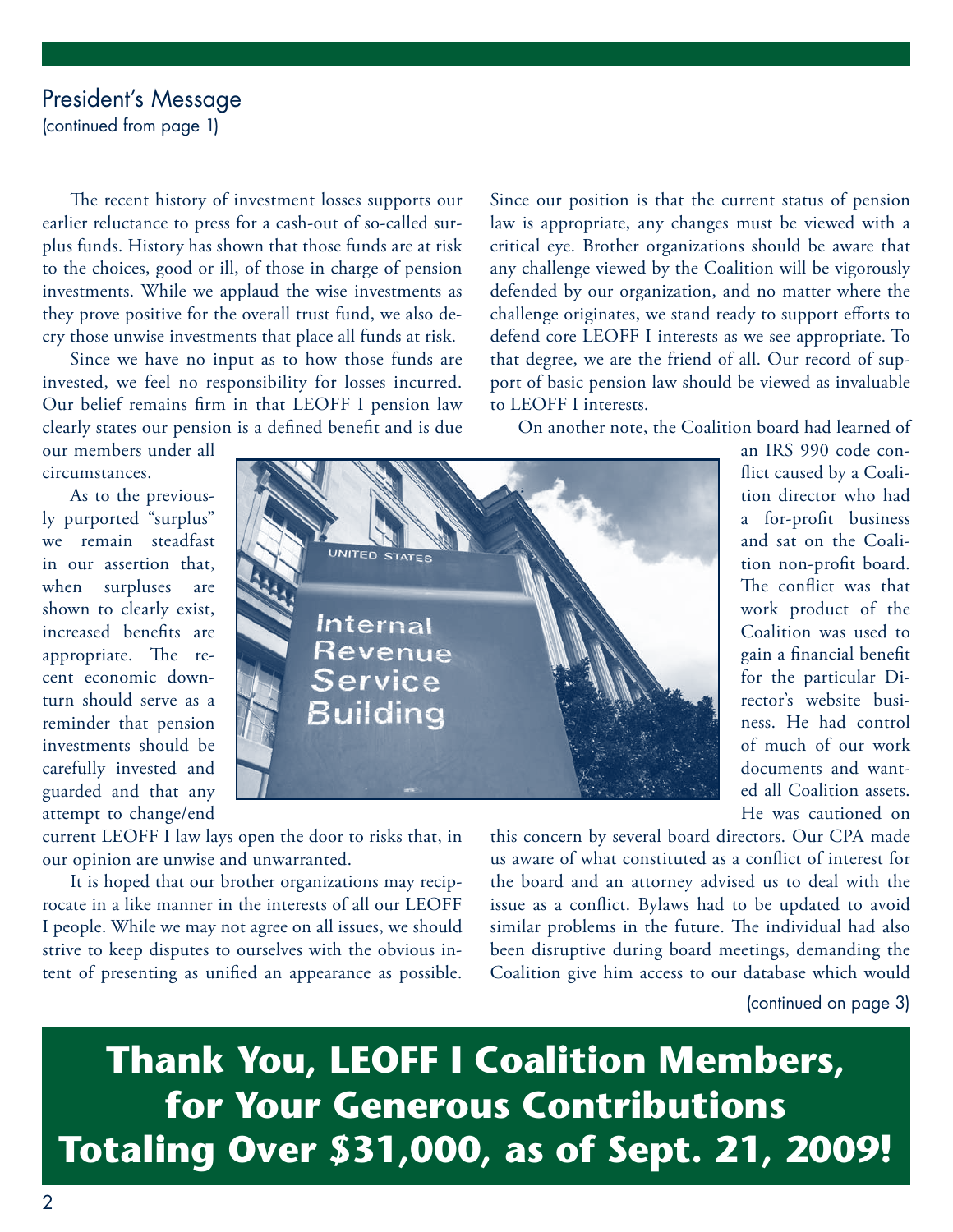### President's Message

(continued from page 1)

The recent history of investment losses supports our earlier reluctance to press for a cash-out of so-called surplus funds. History has shown that those funds are at risk to the choices, good or ill, of those in charge of pension investments. While we applaud the wise investments as they prove positive for the overall trust fund, we also decry those unwise investments that place all funds at risk.

Since we have no input as to how those funds are invested, we feel no responsibility for losses incurred. Our belief remains firm in that LEOFF I pension law clearly states our pension is a defined benefit and is due Since our position is that the current status of pension law is appropriate, any changes must be viewed with a critical eye. Brother organizations should be aware that any challenge viewed by the Coalition will be vigorously defended by our organization, and no matter where the challenge originates, we stand ready to support efforts to defend core LEOFF I interests as we see appropriate. To that degree, we are the friend of all. Our record of support of basic pension law should be viewed as invaluable to LEOFF I interests.

On another note, the Coalition board had learned of

our members under all circumstances.

As to the previously purported "surplus" we remain steadfast in our assertion that, when surpluses are shown to clearly exist, increased benefits are appropriate. The recent economic downturn should serve as a reminder that pension investments should be carefully invested and guarded and that any attempt to change/end



an IRS 990 code conflict caused by a Coalition director who had a for-profit business and sat on the Coalition non-profit board. The conflict was that work product of the Coalition was used to gain a financial benefit for the particular Director's website business. He had control of much of our work documents and wanted all Coalition assets. He was cautioned on

current LEOFF I law lays open the door to risks that, in our opinion are unwise and unwarranted.

It is hoped that our brother organizations may reciprocate in a like manner in the interests of all our LEOFF I people. While we may not agree on all issues, we should strive to keep disputes to ourselves with the obvious intent of presenting as unified an appearance as possible.

this concern by several board directors. Our CPA made us aware of what constituted as a conflict of interest for the board and an attorney advised us to deal with the issue as a conflict. Bylaws had to be updated to avoid similar problems in the future. The individual had also been disruptive during board meetings, demanding the Coalition give him access to our database which would

(continued on page 3)

**Thank You, LEOFF I Coalition Members, for Your Generous Contributions Totaling Over \$31,000, as of Sept. 21, 2009!**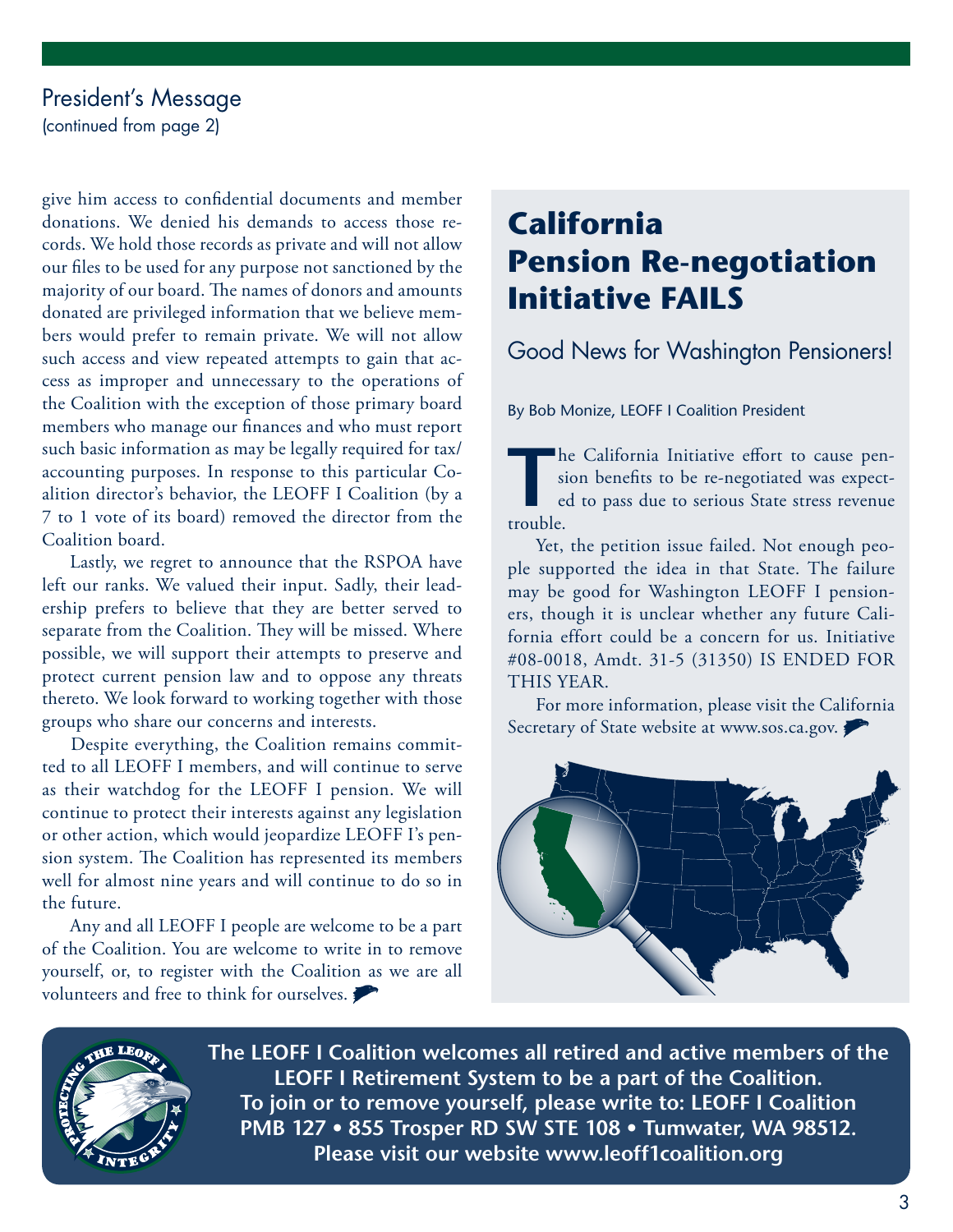#### President's Message

(continued from page 2)

give him access to confidential documents and member donations. We denied his demands to access those records. We hold those records as private and will not allow our files to be used for any purpose not sanctioned by the majority of our board. The names of donors and amounts donated are privileged information that we believe members would prefer to remain private. We will not allow such access and view repeated attempts to gain that access as improper and unnecessary to the operations of the Coalition with the exception of those primary board members who manage our finances and who must report such basic information as may be legally required for tax/ accounting purposes. In response to this particular Coalition director's behavior, the LEOFF I Coalition (by a 7 to 1 vote of its board) removed the director from the Coalition board.

Lastly, we regret to announce that the RSPOA have left our ranks. We valued their input. Sadly, their leadership prefers to believe that they are better served to separate from the Coalition. They will be missed. Where possible, we will support their attempts to preserve and protect current pension law and to oppose any threats thereto. We look forward to working together with those groups who share our concerns and interests.

 Despite everything, the Coalition remains committed to all LEOFF I members, and will continue to serve as their watchdog for the LEOFF I pension. We will continue to protect their interests against any legislation or other action, which would jeopardize LEOFF I's pension system. The Coalition has represented its members well for almost nine years and will continue to do so in the future.

Any and all LEOFF I people are welcome to be a part of the Coalition. You are welcome to write in to remove yourself, or, to register with the Coalition as we are all volunteers and free to think for ourselves.

# **California Pension Re-negotiation Initiative FAILS**

Good News for Washington Pensioners!

By Bob Monize, LEOFF I Coalition President

The California Initiative effort to cause pen-<br>sion benefits to be re-negotiated was expect-<br>ed to pass due to serious State stress revenue sion benefits to be re-negotiated was expected to pass due to serious State stress revenue trouble.

Yet, the petition issue failed. Not enough people supported the idea in that State. The failure may be good for Washington LEOFF I pensioners, though it is unclear whether any future California effort could be a concern for us. Initiative #08-0018, Amdt. 31-5 (31350) IS ENDED FOR THIS YEAR.

For more information, please visit the California Secretary of State website at www.sos.ca.gov.





**The LEOFF I Coalition welcomes all retired and active members of the LEOFF I Retirement System to be a part of the Coalition. To join or to remove yourself, please write to: LEOFF I Coalition PMB 127 • 855 Trosper RD SW STE 108 • Tumwater, WA 98512. Please visit our website www.leoff1coalition.org**